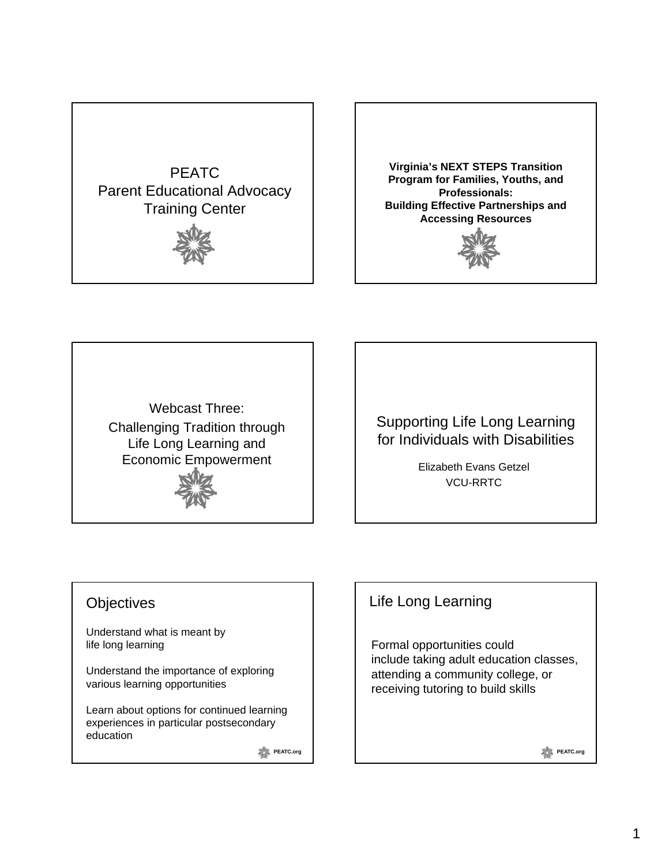



**Virginia's NEXT STEPS Transition Program for Families, Youths, and Professionals: Building Effective Partnerships and Accessing Resources**



Webcast Three: Challenging Tradition through Life Long Learning and Economic Empowerment



Supporting Life Long Learning for Individuals with Disabilities

> Elizabeth Evans Getzel VCU-RRTC

#### **Objectives**

Understand what is meant by life long learning

Understand the importance of exploring Understand the importance of various learning opportunities

Learn about options for continued learning experiences in particular postsecondary education

**PEATC.org** 

#### Life Long Learning

Formal opportunities could include taking adult education classes, attending a community college, or receiving tutoring to build skills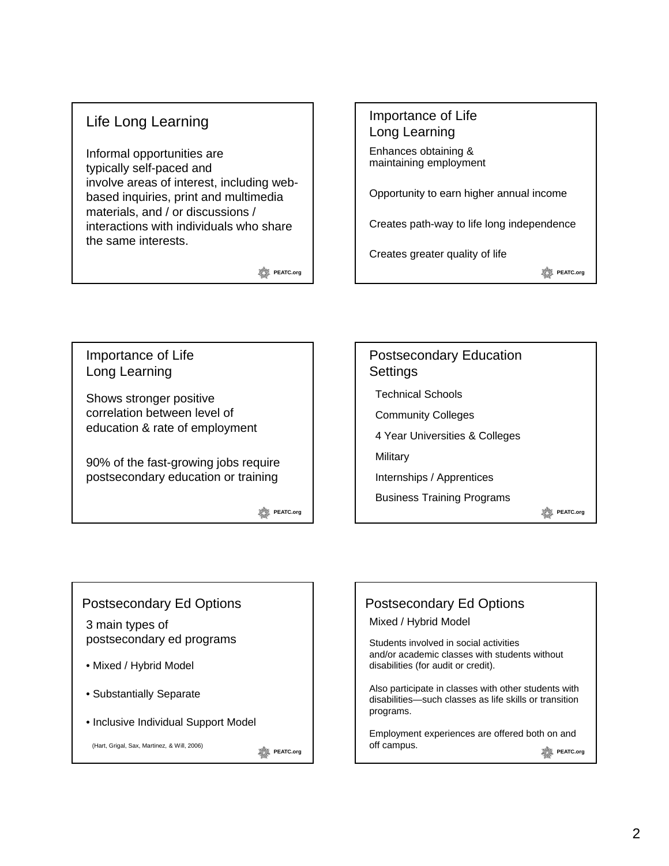#### Life Long Learning

Informal opportunities are typically self-paced and involve areas of interest, including webbased inquiries, print and multimedia materials, and / or discussions / interactions with individuals who share the same interests.

**PEATC.org** 

# Importance of Life Long Learning Enhances obtaining & maintaining employment Opportunity to earn higher annual income Opportunity to earn higher annual Creates path-way to life long independence Creates greater quality of life

**PEATC.org** 

Importance of Life Long Learning

Shows stronger positive correlation between level of education & rate of employment

90% of the fast-growing jobs require postsecondary education or training

**PEATC.org** 



#### Postsecondary Ed Options

3 main types of postsecondary ed programs

- Mixed / Hybrid Model
- Substantially Separate

(Hart, Grigal, Sax, Martinez, & Will, 2006)

• Inclusive Individual Support Model

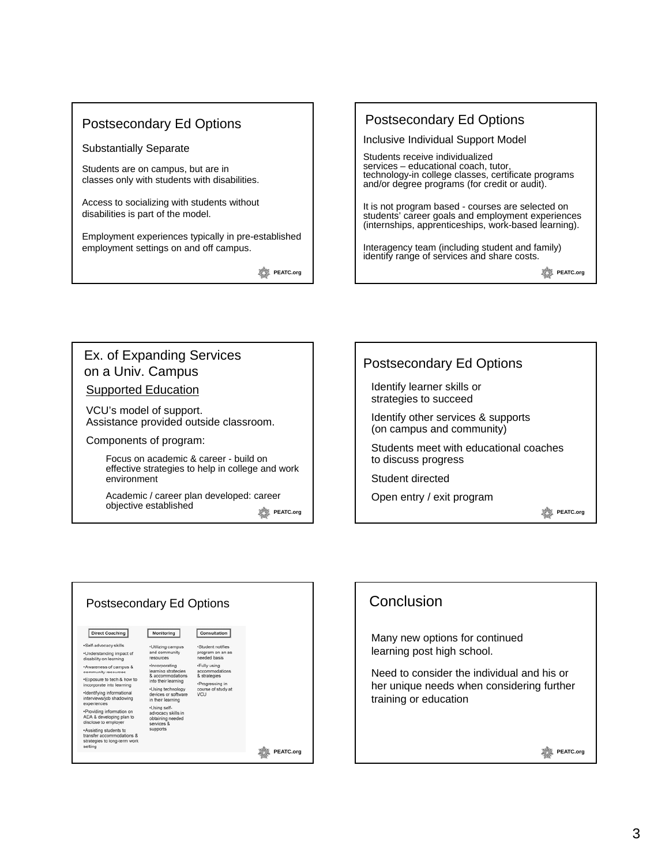#### Postsecondary Ed Options

#### Substantially Separate

Students are on campus, but are in classes only with students with disabilities.

Access to socializing with students without disabilities is part of the model.

Employment experiences typically in pre-established employment settings on and off campus.

**PEATC.org** 

#### Postsecondary Ed Options

Inclusive Individual Support Model

Students receive individualized services – educational coach, tutor, technology-in college classes, certificate programs and/or degree programs (for credit or audit).

It is not program based - courses are selected on students' career goals and employment experiences (internships, apprenticeships, work-based learning).

Interagency team (including student and family) identify range of services and share costs.

**PEATC.org** 

#### Ex. of Expanding Services on a Univ. Campus **Supported Education**

VCU's model of support. Assistance provided outside classroom.

Components of program:

Focus on academic & career - build on effective strategies to help in college and work environment

Academic / career plan developed: career objective established



| <b>Postsecondary Ed Options</b>                                                                |                                                                                                                                                   |                                                                     |           |  |
|------------------------------------------------------------------------------------------------|---------------------------------------------------------------------------------------------------------------------------------------------------|---------------------------------------------------------------------|-----------|--|
| <b>Direct Coaching</b>                                                                         | Monitoring                                                                                                                                        | Consultation                                                        |           |  |
| ·Self-advocacy skills                                                                          | ·Utilizing campus<br>and community<br>resources                                                                                                   | ·Student notifies                                                   |           |  |
| .Understanding impact of<br>disability on learning                                             |                                                                                                                                                   | program on an as<br>needed basis                                    |           |  |
| .Awareness of campus &<br>community resources                                                  | ·Incorporating<br>learning strategies<br>& accommodations<br>into their learning<br>-Using technology<br>devices or software<br>in their learning | .Fully using<br>accommodations                                      |           |  |
| .Exposure to tech & how to<br>incorporate into learning                                        |                                                                                                                                                   | & strategies<br>·Progressing in<br>course of study at<br><b>VCU</b> |           |  |
| ·Identifying informational<br>interviews/job shadowing<br>experiences                          |                                                                                                                                                   |                                                                     |           |  |
|                                                                                                | ·Using self-<br>advocacy skills in<br>obtaining needed<br>services &<br>supports                                                                  |                                                                     |           |  |
| *Providing information on<br>ADA & developing plan to<br>disclose to employer                  |                                                                                                                                                   |                                                                     |           |  |
| .Assisting students to<br>transfer accommodations &<br>strategies to long-term work<br>setting |                                                                                                                                                   |                                                                     |           |  |
|                                                                                                |                                                                                                                                                   |                                                                     | PEATC.org |  |

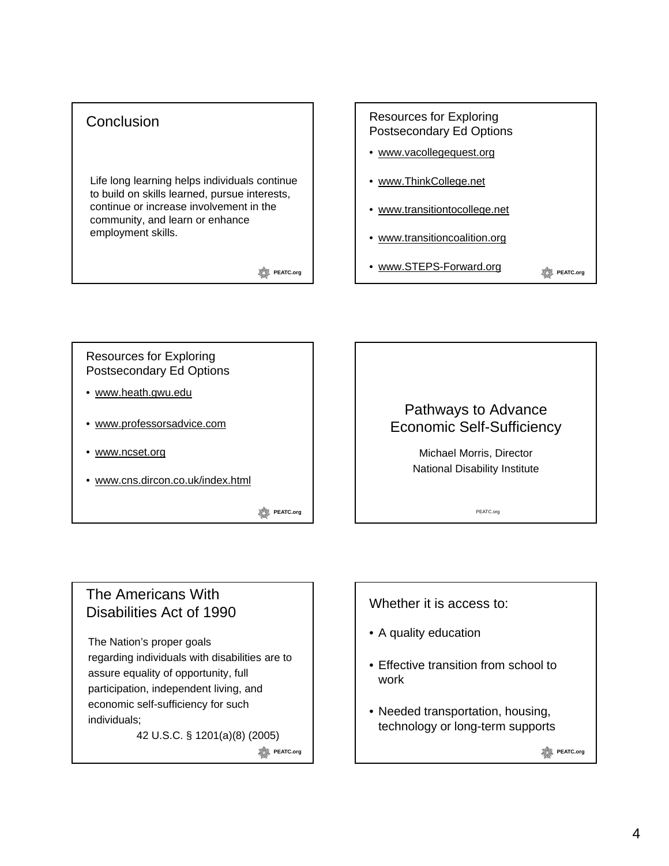#### **Conclusion**

Life long learning helps individuals continue to build on skills learned, pursue interests, continue or increase involvement in the community, and learn or enhance employment skills.

**PEATC.org** 

# Resources for Exploring Postsecondary Ed Options • www.vacollegequest.org • www.ThinkCollege.net • www.transitiontocollege.net

- www.transitioncoalition.org
- www.STEPS-Forward.org

**PEATC.org** 

Resources for Exploring Postsecondary Ed Options

- www.heath.gwu.edu
- www.professorsadvice.com
- www.ncset.org
- www.cns.dircon.co.uk/index.html

**PEATC.org** 

### Pathways to Advance Economic Self-Sufficiency

Michael Morris, Director National Disability Institute

PEATC.org

### The Americans With Disabilities Act of 1990

The Nation's proper goals regarding individuals with disabilities are to assure equality of opportunity, full participation, independent living, and economic self-sufficiency for such individuals;

42 U.S.C. § 1201(a)(8) (2005)

**PEATC.org** 

#### Whether it is access to:

- A quality education
- Effective transition from school to work
- Needed transportation, housing, technology or long-term supports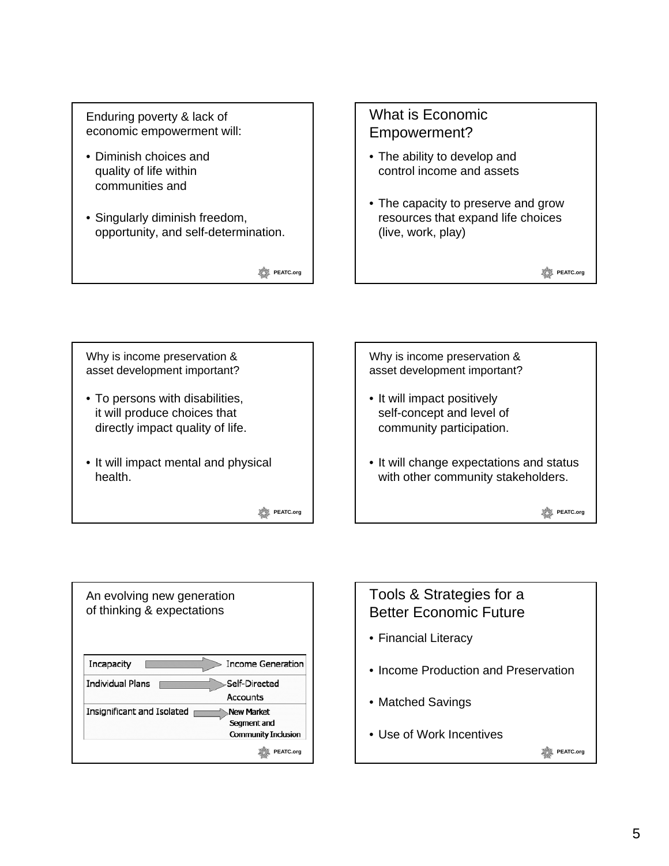Enduring poverty & lack of economic empowerment will:

- Diminish choices and quality of life within communities and
- Singularly diminish freedom, opportunity, and self-determination.

**PEATC.org** 

## What is Economic Empowerment?

- The ability to develop and control income and assets
- The capacity to preserve and grow resources that expand life choices (live, work, play)

**PEATC.org** 

Why is income preservation & asset development important?

- To persons with disabilities, it will produce choices that directly impact quality of life.
- It will impact mental and physical health.

**PEATC.org** 

Why is income preservation & asset development important? • It will impact positively self-concept and level of community participation. • It will change expectations and status with other community stakeholders. **PEATC.org** 

| An evolving new generation<br>of thinking & expectations |                                                         |  |  |
|----------------------------------------------------------|---------------------------------------------------------|--|--|
| Incapacity                                               | <b>Income Generation</b>                                |  |  |
| <b>Individual Plans</b>                                  | -Self-Directed<br>Accounts                              |  |  |
| Insignificant and Isolated                               | New Market<br>Segment and<br><b>Community Inclusion</b> |  |  |
|                                                          | PEATC.org                                               |  |  |

# Tools & Strategies for a Better Economic Future

- Financial Literacy
- Income Production and Preservation
- Matched Savings
- Use of Work Incentives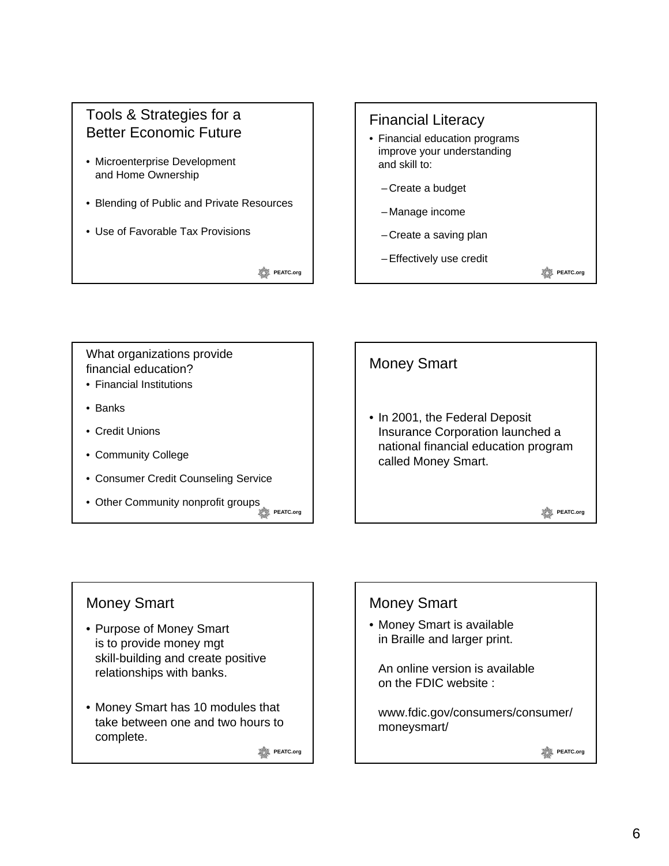### Tools & Strategies for a Better Economic Future

- Microenterprise Development and Home Ownership
- Blending of Public and Private Resources
- Use of Favorable Tax Provisions

**PEATC.org** 

## Financial Literacy • Financial education programs improve your understanding and skill to: – Create a budget – Manage income – Create a saving plan – Effectively use credit **PEATC.org**

What organizations provide financial education?

- Financial Institutions
- Banks
- Credit Unions
- Community College
- Consumer Credit Counseling Service
- Other Community nonprofit groups **PEATC.org**



## Money Smart

- Purpose of Money Smart is to provide money mgt skill-building and create positive relationships with banks.
- Money Smart has 10 modules that take between one and two hours to complete.

**PEATC.org** 

## Money Smart

• Money Smart is available in Braille and larger print.

An online version is available on the FDIC website :

www.fdic.gov/consumers/consumer/ moneysmart/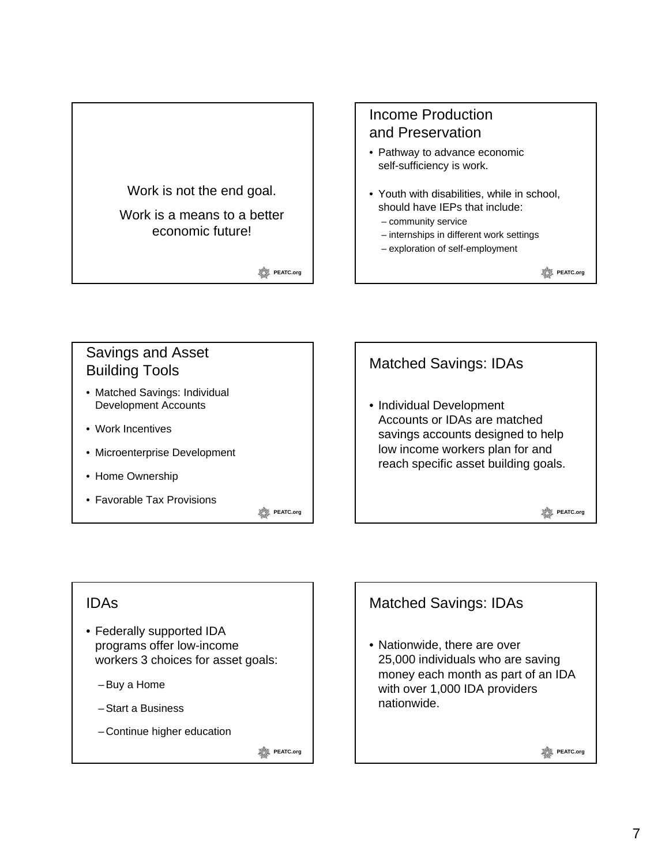

## Income Production and Preservation

- Pathway to advance economic self-sufficiency is work.
- Youth with disabilities, while in school, should have IEPs that include:
	- community service
	- internships in different work settings
	- exploration of self-employment

**PEATC.org** 

**PEATC.org** 

## Savings and Asset Building Tools

- Matched Savings: Individual Development Accounts
- Work Incentives
- Microenterprise Development
- Home Ownership
- Favorable Tax Provisions

**PEATC.org** 

# Matched Savings: IDAs • Individual Development Accounts or IDAs are matched savings accounts designed to help low income workers plan for and reach specific asset building goals.

IDAs

- Federally supported IDA programs offer low-income workers 3 choices for asset goals:
	- Buy a Home
	- Start a Business
	- Continue higher education

**PEATC.org** 

## Matched Savings: IDAs

• Nationwide, there are over 25,000 individuals who are saving money each month as part of an IDA with over 1,000 IDA providers nationwide.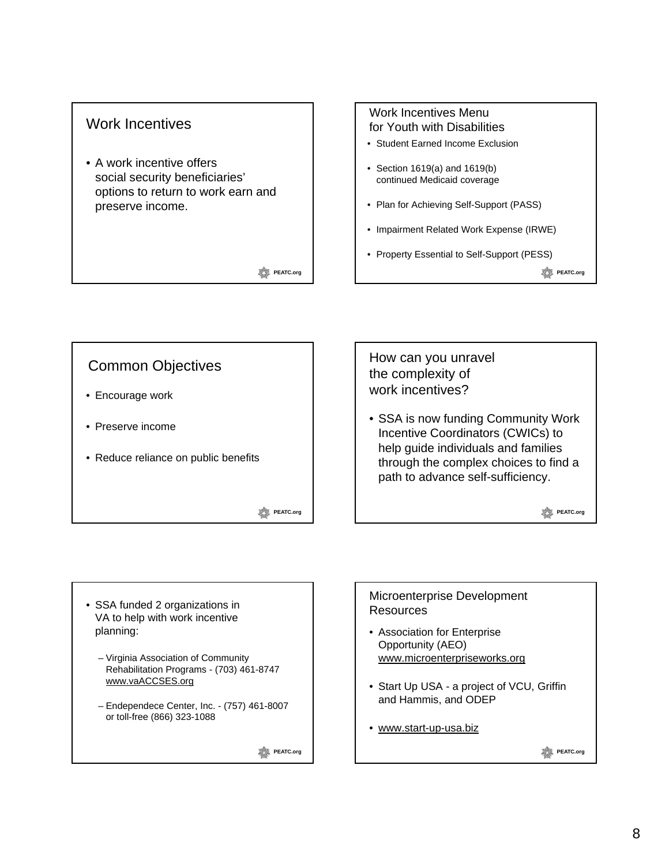#### Work Incentives

• A work incentive offers social security beneficiaries' options to return to work earn and preserve income.

#### **PEATC.org**

#### Work Incentives Menu for Youth with Disabilities

- Student Earned Income Exclusion
- Section 1619(a) and 1619(b) continued Medicaid coverage
- Plan for Achieving Self-Support (PASS)
- Impairment Related Work Expense (IRWE)
- Property Essential to Self-Support (PESS)

**PEATC.org** 



- SSA funded 2 organizations in VA to help with work incentive planning:
	- Virginia Association of Community Rehabilitation Programs - (703) 461-8747 www.vaACCSES.org
	- Endependece Center, Inc. (757) 461-8007 or toll-free (866) 323-1088

**PEATC.org** 

#### Microenterprise Development **Resources**

- Association for Enterprise Opportunity (AEO) www.microenterpriseworks.org
- Start Up USA a project of VCU, Griffin and Hammis, and ODEP
- www.start-up-usa.biz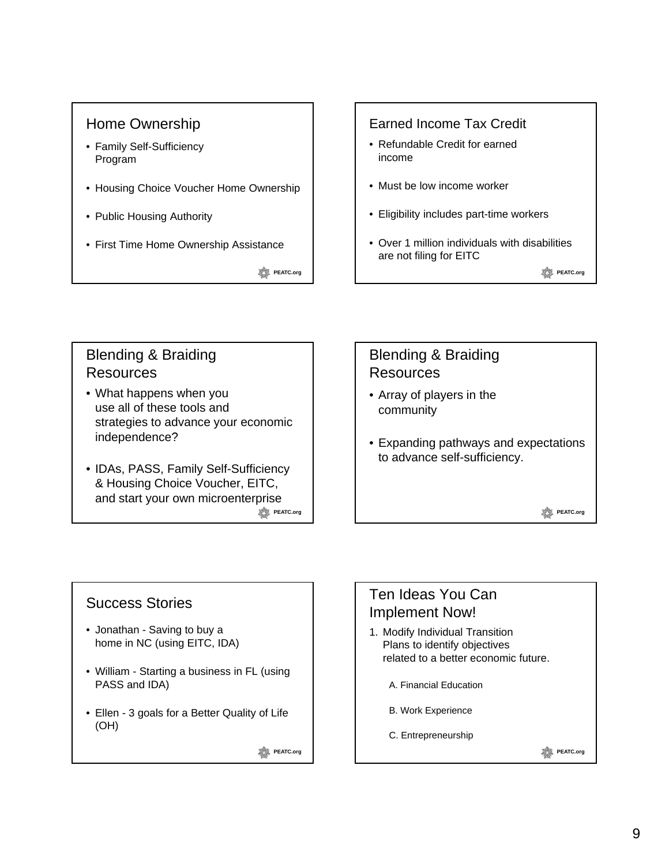#### Home Ownership

- Family Self-Sufficiency Program
- Housing Choice Voucher Home Ownership
- Public Housing Authority
- First Time Home Ownership Assistance

**PEATC.org** 

#### Earned Income Tax Credit

- Refundable Credit for earned income
- Must be low income worker
- Eligibility includes part-time workers
- Over 1 million individuals with disabilities are not filing for EITC

**PEATC.org** 

## Blending & Braiding Resources

- What happens when you use all of these tools and strategies to advance your economic independence?
- IDAs, PASS, Family Self-Sufficiency & Housing Choice Voucher, EITC, and start your own microenterprise **PEATC.org**

#### Blending & Braiding Resources

- Array of players in the community
- Expanding pathways and expectations to advance self-sufficiency.

**PEATC.org** 

## Success Stories

- Jonathan Saving to buy a home in NC (using EITC, IDA)
- William Starting a business in FL (using PASS and IDA)
- Ellen 3 goals for a Better Quality of Life (OH)

**PEATC.org** 

## Ten Ideas You Can Implement Now!

- 1. Modify Individual Transition Plans to identify objectives related to a better economic future.
	- A. Financial Education
	- B. Work Experience
	- C. Entrepreneurship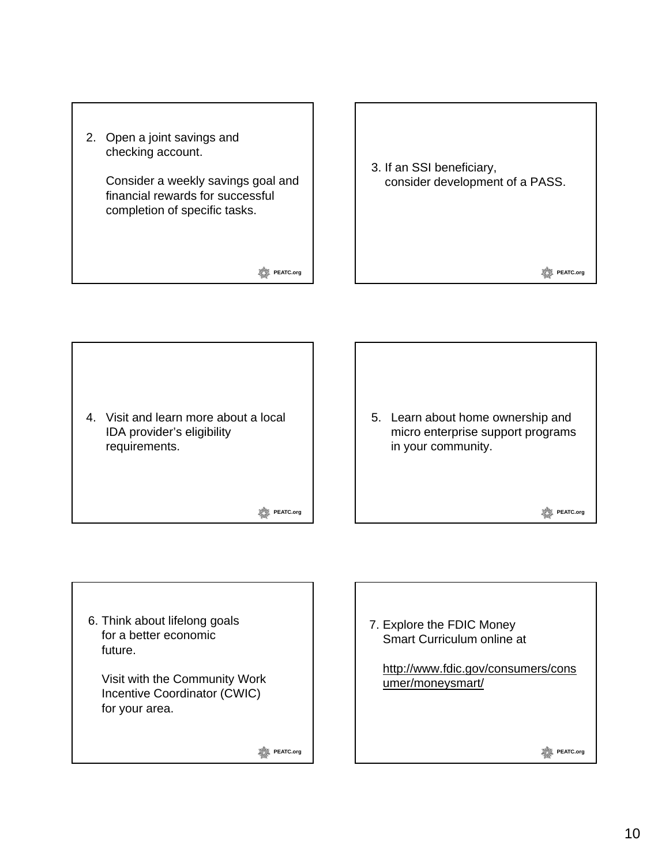

3. If an SSI beneficiary, consider development of a PASS.

4. Visit and learn more about a local IDA provider's eligibility requirements.

**PEATC.org** 

5. Learn about home ownership and micro enterprise support programs in your community.

**PEATC.org** 

**PEATC.org** 

6. Think about lifelong goals for a better economic future.

Visit with the Community Work Incentive Coordinator (CWIC) for your area.